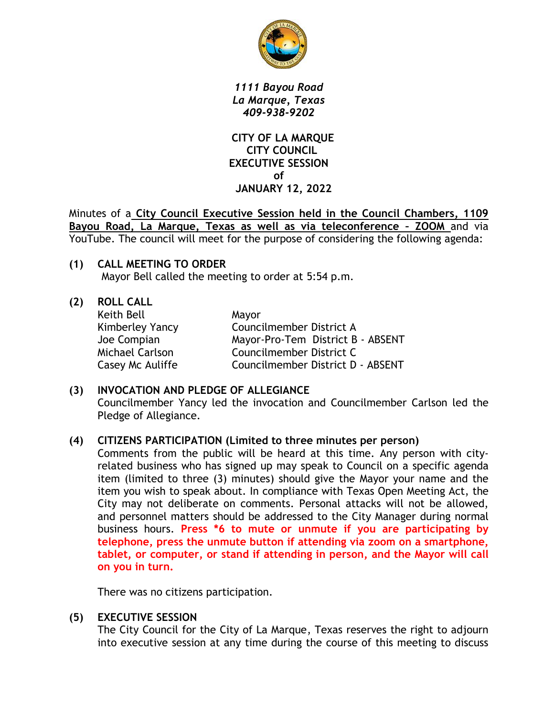

*1111 Bayou Road La Marque, Texas 409-938-9202*

 **CITY OF LA MARQUE CITY COUNCIL EXECUTIVE SESSION of JANUARY 12, 2022**

Minutes of a **City Council Executive Session held in the Council Chambers, 1109 Bayou Road, La Marque, Texas as well as via teleconference – ZOOM** and via YouTube. The council will meet for the purpose of considering the following agenda:

**(1) CALL MEETING TO ORDER** Mayor Bell called the meeting to order at 5:54 p.m.

**(2) ROLL CALL** Keith Bell Mayor

Kimberley Yancy Councilmember District A Joe Compian Mayor-Pro-Tem District B - ABSENT Michael Carlson Councilmember District C Casey Mc Auliffe Councilmember District D - ABSENT

## **(3) INVOCATION AND PLEDGE OF ALLEGIANCE** Councilmember Yancy led the invocation and Councilmember Carlson led the Pledge of Allegiance.

## **(4) CITIZENS PARTICIPATION (Limited to three minutes per person)**

Comments from the public will be heard at this time. Any person with cityrelated business who has signed up may speak to Council on a specific agenda item (limited to three (3) minutes) should give the Mayor your name and the item you wish to speak about. In compliance with Texas Open Meeting Act, the City may not deliberate on comments. Personal attacks will not be allowed, and personnel matters should be addressed to the City Manager during normal business hours. **Press \*6 to mute or unmute if you are participating by telephone, press the unmute button if attending via zoom on a smartphone, tablet, or computer, or stand if attending in person, and the Mayor will call on you in turn.**

There was no citizens participation.

## **(5) EXECUTIVE SESSION**

The City Council for the City of La Marque, Texas reserves the right to adjourn into executive session at any time during the course of this meeting to discuss